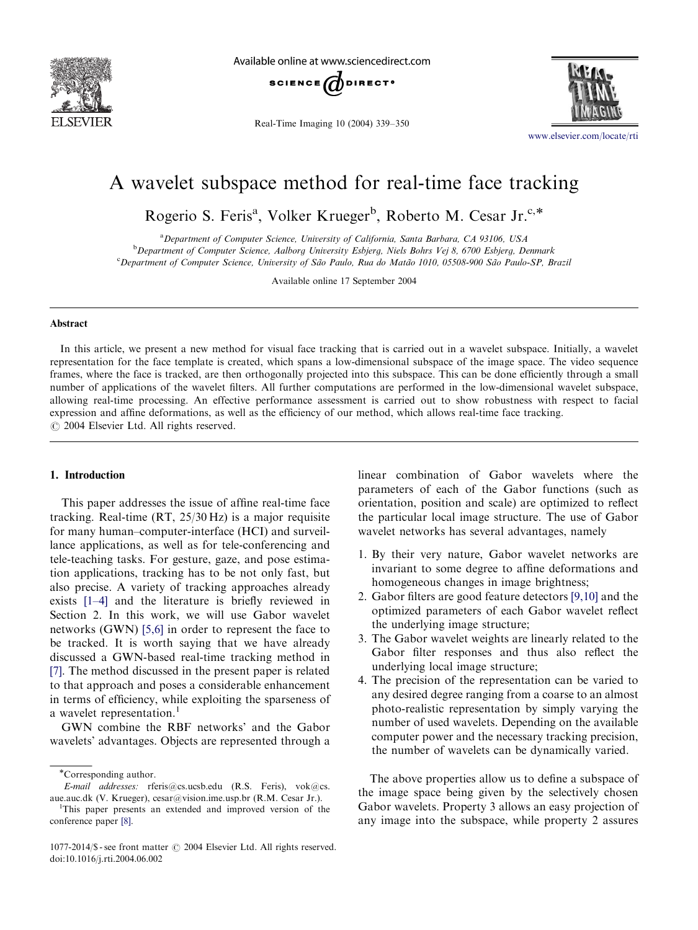

Available online at www.sciencedirect.com



Real-Time Imaging 10 (2004) 339–350



# A wavelet subspace method for real-time face tracking

Rogerio S. Feris<sup>a</sup>, Volker Krueger<sup>b</sup>, Roberto M. Cesar Jr.<sup>c,\*</sup>

<sup>a</sup> Department of Computer Science, University of California, Santa Barbara, CA 93106, USA <sup>b</sup> Department of Computer Science, Aalborg University Esbjerg, Niels Bohrs Vej 8, 6700 Esbjerg, Denmark e<br>Department of Computer Science, University of São Paulo, Rua do Matão 1010, 05508-900 São Paulo-SP, Brazil

Available online 17 September 2004

#### Abstract

In this article, we present a new method for visual face tracking that is carried out in a wavelet subspace. Initially, a wavelet representation for the face template is created, which spans a low-dimensional subspace of the image space. The video sequence frames, where the face is tracked, are then orthogonally projected into this subspace. This can be done efficiently through a small number of applications of the wavelet filters. All further computations are performed in the low-dimensional wavelet subspace, allowing real-time processing. An effective performance assessment is carried out to show robustness with respect to facial expression and affine deformations, as well as the efficiency of our method, which allows real-time face tracking.  $O$  2004 Elsevier Ltd. All rights reserved.

#### 1. Introduction

This paper addresses the issue of affine real-time face tracking. Real-time (RT, 25/30 Hz) is a major requisite for many human–computer-interface (HCI) and surveillance applications, as well as for tele-conferencing and tele-teaching tasks. For gesture, gaze, and pose estimation applications, tracking has to be not only fast, but also precise. A variety of tracking approaches already exists [\[1–4\]](#page-10-0) and the literature is briefly reviewed in Section 2. In this work, we will use Gabor wavelet networks (GWN) [\[5,6\]](#page-10-0) in order to represent the face to be tracked. It is worth saying that we have already discussed a GWN-based real-time tracking method in [\[7\].](#page-10-0) The method discussed in the present paper is related to that approach and poses a considerable enhancement in terms of efficiency, while exploiting the sparseness of a wavelet representation.<sup>1</sup>

GWN combine the RBF networks' and the Gabor wavelets' advantages. Objects are represented through a

linear combination of Gabor wavelets where the parameters of each of the Gabor functions (such as orientation, position and scale) are optimized to reflect the particular local image structure. The use of Gabor wavelet networks has several advantages, namely

- 1. By their very nature, Gabor wavelet networks are invariant to some degree to affine deformations and homogeneous changes in image brightness;
- 2. Gabor filters are good feature detectors [\[9,10\]](#page-10-0) and the optimized parameters of each Gabor wavelet reflect the underlying image structure;
- 3. The Gabor wavelet weights are linearly related to the Gabor filter responses and thus also reflect the underlying local image structure;
- 4. The precision of the representation can be varied to any desired degree ranging from a coarse to an almost photo-realistic representation by simply varying the number of used wavelets. Depending on the available computer power and the necessary tracking precision, the number of wavelets can be dynamically varied.

The above properties allow us to define a subspace of the image space being given by the selectively chosen Gabor wavelets. Property 3 allows an easy projection of any image into the subspace, while property 2 assures

Corresponding author.

E-mail addresses: rferis@cs.ucsb.edu (R.S. Feris), vok@cs. aue.auc.dk (V. Krueger), cesar@vision.ime.usp.br (R.M. Cesar Jr.).

<sup>&</sup>lt;sup>1</sup>This paper presents an extended and improved version of the conference paper [\[8\].](#page-10-0)

<sup>1077-2014/\$ -</sup> see front matter  $\odot$  2004 Elsevier Ltd. All rights reserved. doi:10.1016/j.rti.2004.06.002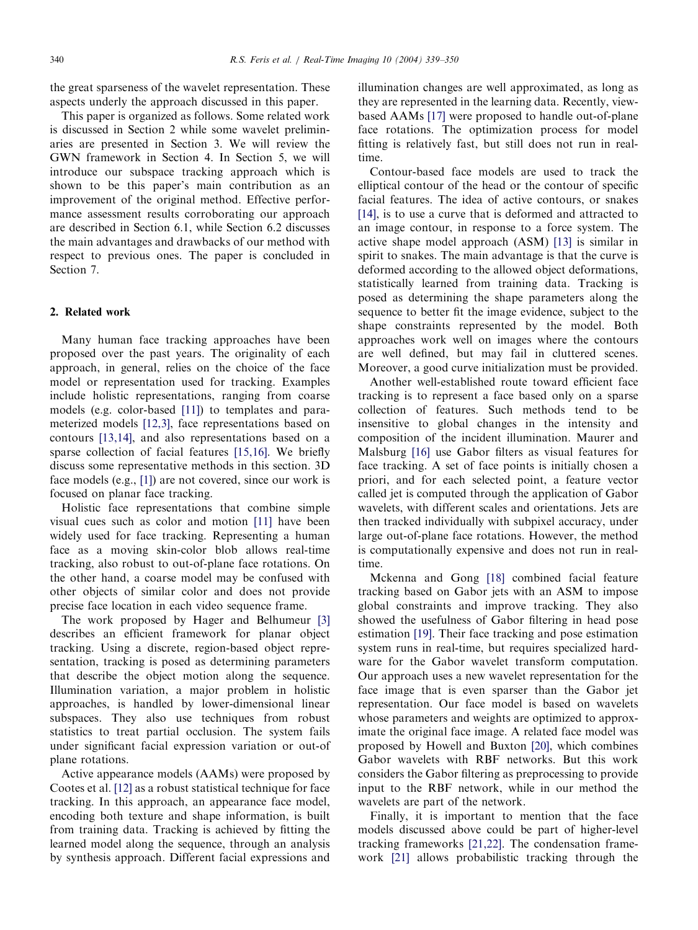the great sparseness of the wavelet representation. These aspects underly the approach discussed in this paper.

This paper is organized as follows. Some related work is discussed in Section 2 while some wavelet preliminaries are presented in Section 3. We will review the GWN framework in Section 4. In Section 5, we will introduce our subspace tracking approach which is shown to be this paper's main contribution as an improvement of the original method. Effective performance assessment results corroborating our approach are described in Section 6.1, while Section 6.2 discusses the main advantages and drawbacks of our method with respect to previous ones. The paper is concluded in Section 7.

## 2. Related work

Many human face tracking approaches have been proposed over the past years. The originality of each approach, in general, relies on the choice of the face model or representation used for tracking. Examples include holistic representations, ranging from coarse models (e.g. color-based [\[11\]](#page-10-0)) to templates and parameterized models [\[12,3\]](#page-10-0), face representations based on contours [\[13,14\],](#page-10-0) and also representations based on a sparse collection of facial features [\[15,16\].](#page-10-0) We briefly discuss some representative methods in this section. 3D face models (e.g., [\[1\]\)](#page-10-0) are not covered, since our work is focused on planar face tracking.

Holistic face representations that combine simple visual cues such as color and motion [\[11\]](#page-10-0) have been widely used for face tracking. Representing a human face as a moving skin-color blob allows real-time tracking, also robust to out-of-plane face rotations. On the other hand, a coarse model may be confused with other objects of similar color and does not provide precise face location in each video sequence frame.

The work proposed by Hager and Belhumeur [\[3\]](#page-10-0) describes an efficient framework for planar object tracking. Using a discrete, region-based object representation, tracking is posed as determining parameters that describe the object motion along the sequence. Illumination variation, a major problem in holistic approaches, is handled by lower-dimensional linear subspaces. They also use techniques from robust statistics to treat partial occlusion. The system fails under significant facial expression variation or out-of plane rotations.

Active appearance models (AAMs) were proposed by Cootes et al. [\[12\]](#page-10-0) as a robust statistical technique for face tracking. In this approach, an appearance face model, encoding both texture and shape information, is built from training data. Tracking is achieved by fitting the learned model along the sequence, through an analysis by synthesis approach. Different facial expressions and illumination changes are well approximated, as long as they are represented in the learning data. Recently, viewbased AAMs [\[17\]](#page-10-0) were proposed to handle out-of-plane face rotations. The optimization process for model fitting is relatively fast, but still does not run in realtime.

Contour-based face models are used to track the elliptical contour of the head or the contour of specific facial features. The idea of active contours, or snakes [\[14\],](#page-10-0) is to use a curve that is deformed and attracted to an image contour, in response to a force system. The active shape model approach (ASM) [\[13\]](#page-10-0) is similar in spirit to snakes. The main advantage is that the curve is deformed according to the allowed object deformations, statistically learned from training data. Tracking is posed as determining the shape parameters along the sequence to better fit the image evidence, subject to the shape constraints represented by the model. Both approaches work well on images where the contours are well defined, but may fail in cluttered scenes. Moreover, a good curve initialization must be provided.

Another well-established route toward efficient face tracking is to represent a face based only on a sparse collection of features. Such methods tend to be insensitive to global changes in the intensity and composition of the incident illumination. Maurer and Malsburg [\[16\]](#page-10-0) use Gabor filters as visual features for face tracking. A set of face points is initially chosen a priori, and for each selected point, a feature vector called jet is computed through the application of Gabor wavelets, with different scales and orientations. Jets are then tracked individually with subpixel accuracy, under large out-of-plane face rotations. However, the method is computationally expensive and does not run in realtime.

Mckenna and Gong [\[18\]](#page-10-0) combined facial feature tracking based on Gabor jets with an ASM to impose global constraints and improve tracking. They also showed the usefulness of Gabor filtering in head pose estimation [\[19\].](#page-10-0) Their face tracking and pose estimation system runs in real-time, but requires specialized hardware for the Gabor wavelet transform computation. Our approach uses a new wavelet representation for the face image that is even sparser than the Gabor jet representation. Our face model is based on wavelets whose parameters and weights are optimized to approximate the original face image. A related face model was proposed by Howell and Buxton [\[20\],](#page-10-0) which combines Gabor wavelets with RBF networks. But this work considers the Gabor filtering as preprocessing to provide input to the RBF network, while in our method the wavelets are part of the network.

Finally, it is important to mention that the face models discussed above could be part of higher-level tracking frameworks [\[21,22\].](#page-10-0) The condensation framework [\[21\]](#page-10-0) allows probabilistic tracking through the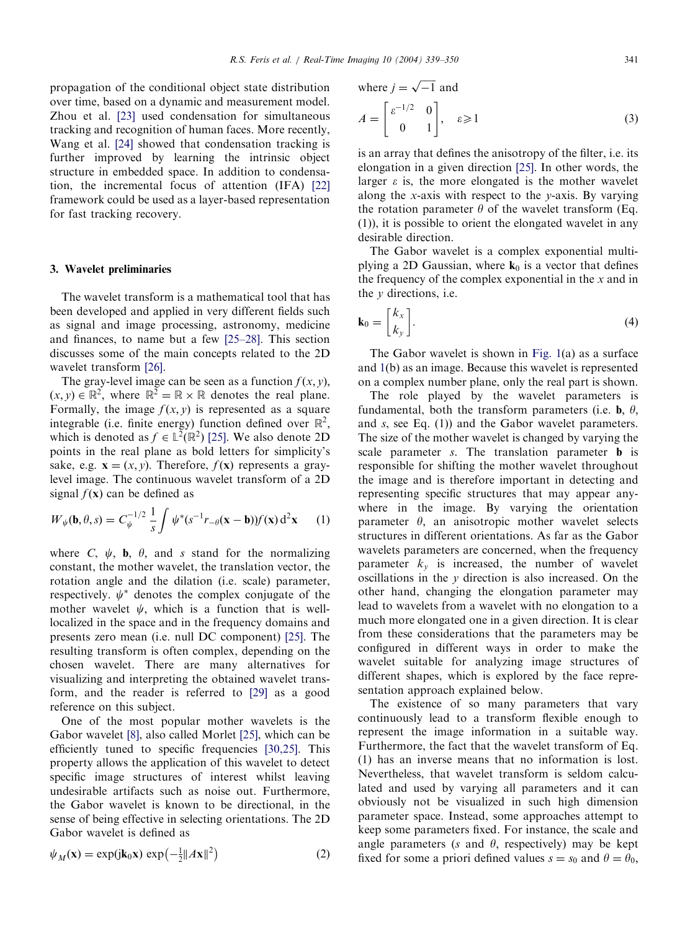propagation of the conditional object state distribution over time, based on a dynamic and measurement model. Zhou et al. [\[23\]](#page-10-0) used condensation for simultaneous tracking and recognition of human faces. More recently, Wang et al. [\[24\]](#page-11-0) showed that condensation tracking is further improved by learning the intrinsic object structure in embedded space. In addition to condensation, the incremental focus of attention (IFA) [\[22\]](#page-10-0) framework could be used as a layer-based representation for fast tracking recovery.

## 3. Wavelet preliminaries

The wavelet transform is a mathematical tool that has been developed and applied in very different fields such as signal and image processing, astronomy, medicine and finances, to name but a few  $[25-28]$ . This section discusses some of the main concepts related to the 2D wavelet transform [\[26\].](#page-11-0)

The gray-level image can be seen as a function  $f(x, y)$ ,  $(x, y) \in \mathbb{R}^2$ , where  $\mathbb{R}^2 = \mathbb{R} \times \mathbb{R}$  denotes the real plane. Formally, the image  $f(x, y)$  is represented as a square integrable (i.e. finite energy) function defined over  $\mathbb{R}^2$ , which is denoted as  $f \in L^2(\mathbb{R}^2)$  [\[25\].](#page-11-0) We also denote 2D points in the real plane as bold letters for simplicity's sake, e.g.  $\mathbf{x} = (x, y)$ . Therefore,  $f(\mathbf{x})$  represents a graylevel image. The continuous wavelet transform of a 2D signal  $f(x)$  can be defined as

$$
W_{\psi}(\mathbf{b}, \theta, s) = C_{\psi}^{-1/2} \frac{1}{s} \int \psi^*(s^{-1}r_{-\theta}(\mathbf{x} - \mathbf{b})) f(\mathbf{x}) d^2 \mathbf{x}
$$
 (1)

where C,  $\psi$ , b,  $\theta$ , and s stand for the normalizing constant, the mother wavelet, the translation vector, the rotation angle and the dilation (i.e. scale) parameter, respectively.  $\psi^*$  denotes the complex conjugate of the mother wavelet  $\psi$ , which is a function that is welllocalized in the space and in the frequency domains and presents zero mean (i.e. null DC component) [\[25\].](#page-11-0) The resulting transform is often complex, depending on the chosen wavelet. There are many alternatives for visualizing and interpreting the obtained wavelet transform, and the reader is referred to [\[29\]](#page-11-0) as a good reference on this subject.

One of the most popular mother wavelets is the Gabor wavelet [\[8\],](#page-10-0) also called Morlet [\[25\]](#page-11-0), which can be efficiently tuned to specific frequencies [\[30,25\]](#page-11-0). This property allows the application of this wavelet to detect specific image structures of interest whilst leaving undesirable artifacts such as noise out. Furthermore, the Gabor wavelet is known to be directional, in the sense of being effective in selecting orientations. The 2D Gabor wavelet is defined as

$$
\psi_M(\mathbf{x}) = \exp(j\mathbf{k}_0 \mathbf{x}) \exp\left(-\frac{1}{2} ||A\mathbf{x}||^2\right) \tag{2}
$$

where 
$$
j = \sqrt{-1}
$$
 and

$$
A = \begin{bmatrix} \varepsilon^{-1/2} & 0\\ 0 & 1 \end{bmatrix}, \quad \varepsilon \ge 1
$$
 (3)

is an array that defines the anisotropy of the filter, i.e. its elongation in a given direction [\[25\].](#page-11-0) In other words, the larger  $\varepsilon$  is, the more elongated is the mother wavelet along the x-axis with respect to the y-axis. By varying the rotation parameter  $\theta$  of the wavelet transform (Eq. (1)), it is possible to orient the elongated wavelet in any desirable direction.

The Gabor wavelet is a complex exponential multiplying a 2D Gaussian, where  $\mathbf{k}_0$  is a vector that defines the frequency of the complex exponential in the  $x$  and in the  $\nu$  directions, i.e.

$$
\mathbf{k}_0 = \begin{bmatrix} k_x \\ k_y \end{bmatrix} . \tag{4}
$$

The Gabor wavelet is shown in [Fig. 1](#page-3-0)(a) as a surface and [1\(](#page-3-0)b) as an image. Because this wavelet is represented on a complex number plane, only the real part is shown.

The role played by the wavelet parameters is fundamental, both the transform parameters (i.e. **b**,  $\theta$ , and  $s$ , see Eq. (1)) and the Gabor wavelet parameters. The size of the mother wavelet is changed by varying the scale parameter  $s$ . The translation parameter **b** is responsible for shifting the mother wavelet throughout the image and is therefore important in detecting and representing specific structures that may appear anywhere in the image. By varying the orientation parameter  $\theta$ , an anisotropic mother wavelet selects structures in different orientations. As far as the Gabor wavelets parameters are concerned, when the frequency parameter  $k<sub>v</sub>$  is increased, the number of wavelet oscillations in the  $y$  direction is also increased. On the other hand, changing the elongation parameter may lead to wavelets from a wavelet with no elongation to a much more elongated one in a given direction. It is clear from these considerations that the parameters may be configured in different ways in order to make the wavelet suitable for analyzing image structures of different shapes, which is explored by the face representation approach explained below.

The existence of so many parameters that vary continuously lead to a transform flexible enough to represent the image information in a suitable way. Furthermore, the fact that the wavelet transform of Eq. (1) has an inverse means that no information is lost. Nevertheless, that wavelet transform is seldom calculated and used by varying all parameters and it can obviously not be visualized in such high dimension parameter space. Instead, some approaches attempt to keep some parameters fixed. For instance, the scale and angle parameters (s and  $\theta$ , respectively) may be kept fixed for some a priori defined values  $s = s_0$  and  $\theta = \theta_0$ ,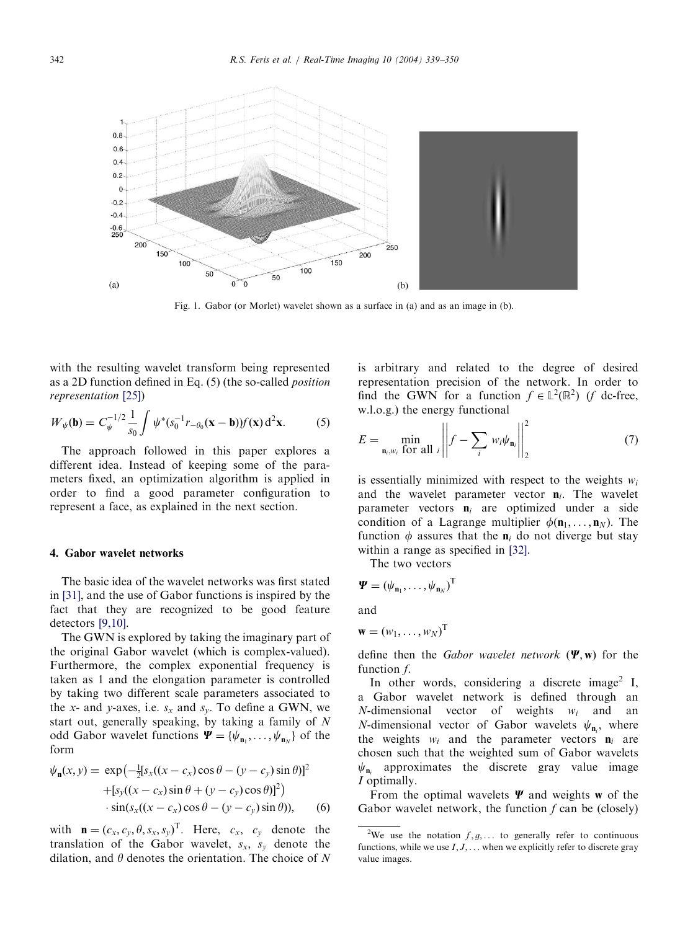<span id="page-3-0"></span>

Fig. 1. Gabor (or Morlet) wavelet shown as a surface in (a) and as an image in (b).

with the resulting wavelet transform being represented as a 2D function defined in Eq. (5) (the so-called position representation [\[25\]](#page-11-0))

$$
W_{\psi}(\mathbf{b}) = C_{\psi}^{-1/2} \frac{1}{s_0} \int \psi^*(s_0^{-1} r_{-\theta_0}(\mathbf{x} - \mathbf{b})) f(\mathbf{x}) d^2 \mathbf{x}.
$$
 (5)

The approach followed in this paper explores a different idea. Instead of keeping some of the parameters fixed, an optimization algorithm is applied in order to find a good parameter configuration to represent a face, as explained in the next section.

## 4. Gabor wavelet networks

The basic idea of the wavelet networks was first stated in [\[31\],](#page-11-0) and the use of Gabor functions is inspired by the fact that they are recognized to be good feature detectors [\[9,10\]](#page-10-0).

The GWN is explored by taking the imaginary part of the original Gabor wavelet (which is complex-valued). Furthermore, the complex exponential frequency is taken as 1 and the elongation parameter is controlled by taking two different scale parameters associated to the x- and y-axes, i.e.  $s_x$  and  $s_y$ . To define a GWN, we start out, generally speaking, by taking a family of N odd Gabor wavelet functions  $\Psi = {\psi_{n_1}, \dots, \psi_{n_N}}$  of the form

$$
\psi_{\mathbf{n}}(x, y) = \exp\left(-\frac{1}{2}[s_x((x - c_x)\cos\theta - (y - c_y)\sin\theta)]^2 + [s_y((x - c_x)\sin\theta + (y - c_y)\cos\theta)]^2\right) \cdot \sin(s_x((x - c_x)\cos\theta - (y - c_y)\sin\theta)), \quad (6)
$$

with  $\mathbf{n} = (c_x, c_y, \theta, s_x, s_y)^T$ . Here,  $c_x$ ,  $c_y$  denote the translation of the Gabor wavelet,  $s_x$ ,  $s_y$  denote the dilation, and  $\theta$  denotes the orientation. The choice of N is arbitrary and related to the degree of desired representation precision of the network. In order to find the GWN for a function  $f \in L^2(\mathbb{R}^2)$  (f dc-free, w.l.o.g.) the energy functional

$$
E = \min_{\mathbf{n}_i, w_i \text{ for all } i} \left\| f - \sum_i w_i \psi_{\mathbf{n}_i} \right\|_2^2 \tag{7}
$$

is essentially minimized with respect to the weights  $w_i$ and the wavelet parameter vector  $n_i$ . The wavelet parameter vectors  $n_i$  are optimized under a side condition of a Lagrange multiplier  $\phi(\mathbf{n}_1, \dots, \mathbf{n}_N)$ . The function  $\phi$  assures that the  $n_i$  do not diverge but stay within a range as specified in [\[32\].](#page-11-0)

The two vectors

$$
\boldsymbol{\varPsi} = (\psi_{\mathbf{n}_1}, \dots, \psi_{\mathbf{n}_N})^T
$$

and

$$
\mathbf{w} = (w_1, \ldots, w_N)^{\mathrm{T}}
$$

define then the Gabor wavelet network  $(\Psi, w)$  for the function f.

In other words, considering a discrete image<sup>2</sup> I, a Gabor wavelet network is defined through an N-dimensional vector of weights  $w_i$  and an *N*-dimensional vector of Gabor wavelets  $\psi_{\mathbf{n}_i}$ , where the weights  $w_i$  and the parameter vectors  $\mathbf{n}_i$  are chosen such that the weighted sum of Gabor wavelets  $\psi_{n}$  approximates the discrete gray value image I optimally.

From the optimal wavelets  $\Psi$  and weights w of the Gabor wavelet network, the function  $f$  can be (closely)

<sup>&</sup>lt;sup>2</sup>We use the notation  $f, g, \ldots$  to generally refer to continuous functions, while we use  $I, J, \ldots$  when we explicitly refer to discrete gray value images.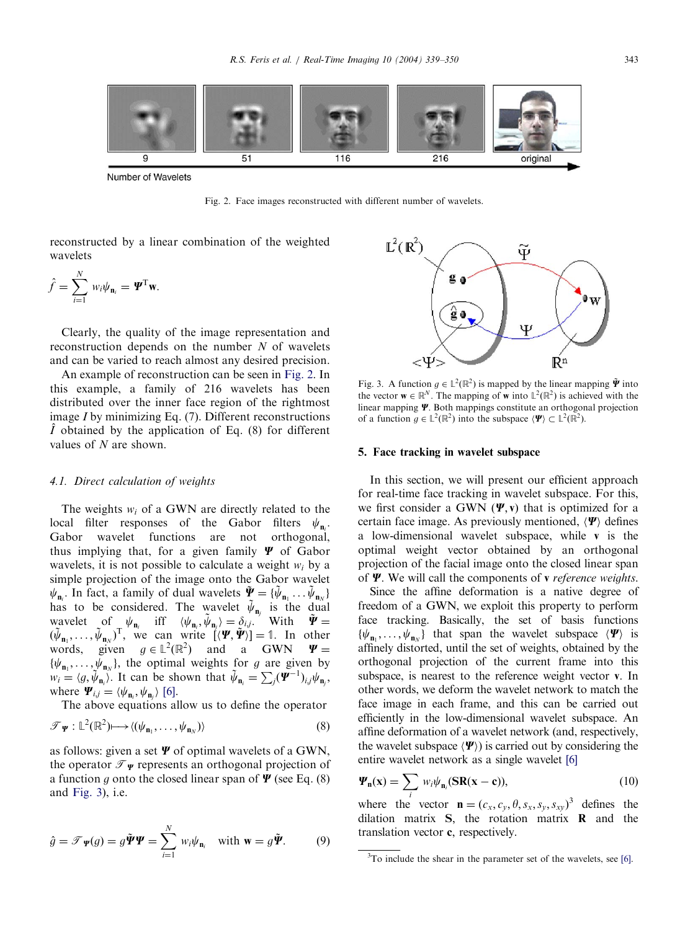<span id="page-4-0"></span>

Number of Wavelets

Fig. 2. Face images reconstructed with different number of wavelets.

reconstructed by a linear combination of the weighted wavelets

$$
\hat{f} = \sum_{i=1}^N w_i \psi_{\mathbf{n}_i} = \mathbf{\Psi}^{\mathrm{T}} \mathbf{w}.
$$

Clearly, the quality of the image representation and reconstruction depends on the number  $N$  of wavelets and can be varied to reach almost any desired precision.

An example of reconstruction can be seen in Fig. 2. In this example, a family of 216 wavelets has been distributed over the inner face region of the rightmost image  $I$  by minimizing Eq.  $(7)$ . Different reconstructions  $\hat{I}$  obtained by the application of Eq. (8) for different values of N are shown.

#### 4.1. Direct calculation of weights

The weights  $w_i$  of a GWN are directly related to the local filter responses of the Gabor filters  $\psi_{n_i}$ . Gabor wavelet functions are not orthogonal, thus implying that, for a given family  $\Psi$  of Gabor wavelets, it is not possible to calculate a weight  $w_i$  by a simple projection of the image onto the Gabor wavelet  $\psi_{n_i}$ . In fact, a family of dual wavelets  $\tilde{\Psi} = {\tilde{\psi}_{n_1} \dots \tilde{\psi}_{n_N}}$ has to be considered. The wavelet  $\tilde{\psi}_{n_j}$  is the dual wavelet of  $\psi_{n_i}$  iff  $\langle \psi_{n_i}, \tilde{\psi}_{n_j} \rangle = \delta_{i,j}$ . With  $\tilde{\Psi} =$  $(\tilde{\psi}_{n_1}, \ldots, \tilde{\psi}_{n_N})^T$ , we can write  $[(\Psi, \tilde{\Psi})] = 1$ . In other words, given  $g \in \mathbb{L}^2(\mathbb{R}^2)$  and a GWN  $\Psi =$  $\{\psi_{n_1}, \dots, \psi_{n_N}\}\$ , the optimal weights for g are given by  $w_i = \langle g, \tilde{\psi}_{n_i} \rangle$ . It can be shown that  $\tilde{\psi}_{n_i} = \sum_j (\Psi^{-1})_{i,j} \psi_{n_j}$ , where  $\Psi_{i,j} = \langle \psi_{\mathbf{n}_i}, \psi_{\mathbf{n}_j} \rangle$  [\[6\].](#page-10-0)

The above equations allow us to define the operator

$$
\mathcal{F}_{\Psi}: \mathbb{L}^{2}(\mathbb{R}^{2}) \longrightarrow \langle (\psi_{n_{1}}, \ldots, \psi_{n_{N}}) \rangle \tag{8}
$$

as follows: given a set  $\Psi$  of optimal wavelets of a GWN, the operator  $\mathcal{T}_{\Psi}$  represents an orthogonal projection of a function q onto the closed linear span of  $\Psi$  (see Eq. (8) and Fig. 3), i.e.

$$
\hat{g} = \mathcal{F}_{\Psi}(g) = g \tilde{\Psi} \Psi = \sum_{i=1}^{N} w_i \psi_{\mathbf{n}_i} \quad \text{with } \mathbf{w} = g \tilde{\Psi}.
$$
 (9)



Fig. 3. A function  $g \in \mathbb{L}^2(\mathbb{R}^2)$  is mapped by the linear mapping  $\tilde{\Psi}$  into the vector  $\mathbf{w} \in \mathbb{R}^N$ . The mapping of **w** into  $\mathbb{L}^2(\mathbb{R}^2)$  is achieved with the linear mapping  $\Psi$ . Both mappings constitute an orthogonal projection of a function  $g \in \mathbb{L}^2(\mathbb{R}^2)$  into the subspace  $\langle \Psi \rangle \subset \mathbb{L}^2(\mathbb{R}^2)$ .

#### 5. Face tracking in wavelet subspace

In this section, we will present our efficient approach for real-time face tracking in wavelet subspace. For this, we first consider a GWN  $(\Psi, v)$  that is optimized for a certain face image. As previously mentioned,  $\langle \Psi \rangle$  defines a low-dimensional wavelet subspace, while v is the optimal weight vector obtained by an orthogonal projection of the facial image onto the closed linear span of  $\Psi$ . We will call the components of **v** *reference weights*.

Since the affine deformation is a native degree of freedom of a GWN, we exploit this property to perform face tracking. Basically, the set of basis functions  $\{\psi_{n_1}, \ldots, \psi_{n_N}\}\$  that span the wavelet subspace  $\langle \Psi \rangle$  is affinely distorted, until the set of weights, obtained by the orthogonal projection of the current frame into this subspace, is nearest to the reference weight vector v. In other words, we deform the wavelet network to match the face image in each frame, and this can be carried out efficiently in the low-dimensional wavelet subspace. An affine deformation of a wavelet network (and, respectively, the wavelet subspace  $\langle \Psi \rangle$  is carried out by considering the entire wavelet network as a single wavelet [\[6\]](#page-10-0)

$$
\Psi_{\mathbf{n}}(\mathbf{x}) = \sum_{i} w_i \psi_{\mathbf{n}_i} (\mathbf{SR}(\mathbf{x} - \mathbf{c})), \tag{10}
$$

where the vector  $\mathbf{n} = (c_x, c_y, \theta, s_x, s_y, s_{xy})^3$  defines the dilation matrix  $S$ , the rotation matrix  $R$  and the translation vector c; respectively.

 $3$ To include the shear in the parameter set of the wavelets, see [\[6\]](#page-10-0).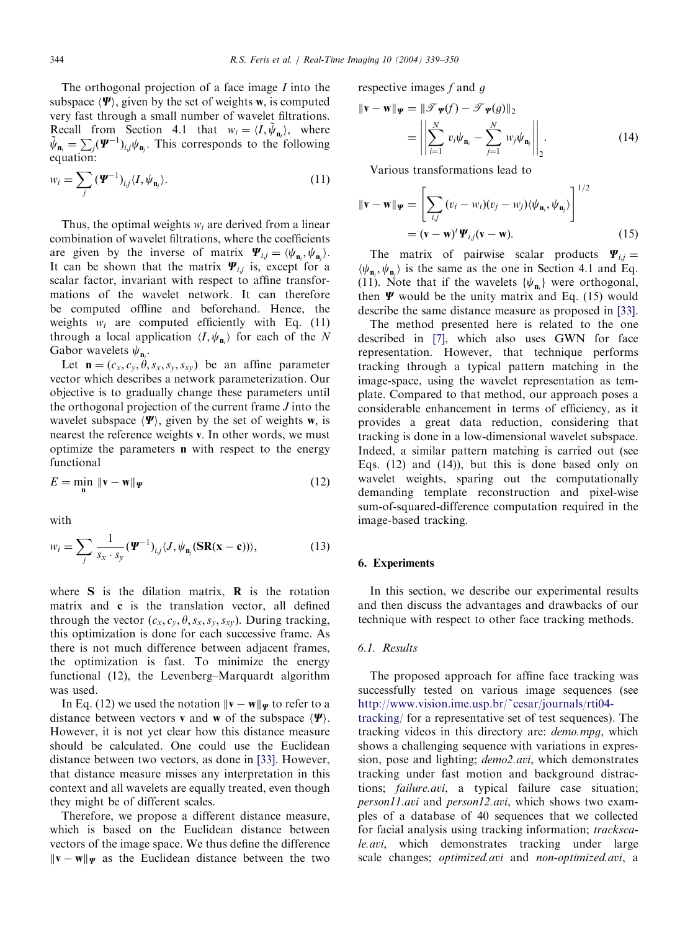The orthogonal projection of a face image  $I$  into the subspace  $\langle \Psi \rangle$ , given by the set of weights w, is computed very fast through a small number of wavelet filtrations. Recall from Section 4.1 that  $w_i = \langle I, \tilde{\psi}_{n_i} \rangle$ , where recent from Section in the  $m_l = \langle x, \varphi_{\mathbf{n}_l} \rangle$ , where  $\tilde{\psi}_{\mathbf{n}_l} = \sum_j (\Psi^{-1})_{i,j} \psi_{\mathbf{n}_j}$ . This corresponds to the following equation:

$$
w_i = \sum_j \left(\mathbf{\Psi}^{-1}\right)_{i,j} \langle I, \psi_{\mathbf{n}_j} \rangle. \tag{11}
$$

Thus, the optimal weights  $w_i$  are derived from a linear combination of wavelet filtrations, where the coefficients are given by the inverse of matrix  $\Psi_{i,j} = \langle \psi_{n_i}, \psi_{n_j} \rangle$ . It can be shown that the matrix  $\Psi_{i,j}$  is, except for a scalar factor, invariant with respect to affine transformations of the wavelet network. It can therefore be computed offline and beforehand. Hence, the weights  $w_i$  are computed efficiently with Eq. (11) through a local application  $\langle I, \psi_{n_i} \rangle$  for each of the N Gabor wavelets  $\psi_{\mathbf{n}_i}$ .

Let  $\mathbf{n} = (c_x, c_y, \theta, s_x, s_y, s_{xy})$  be an affine parameter vector which describes a network parameterization. Our objective is to gradually change these parameters until the orthogonal projection of the current frame  $J$  into the wavelet subspace  $\langle \Psi \rangle$ , given by the set of weights w, is nearest the reference weights v: In other words, we must optimize the parameters  $\bf{n}$  with respect to the energy functional

$$
E = \min_{\mathbf{n}} \| \mathbf{v} - \mathbf{w} \|_{\varPsi}
$$
 (12)

with

$$
w_i = \sum_j \frac{1}{s_x \cdot s_y} (\boldsymbol{\varPsi}^{-1})_{i,j} \langle J, \psi_{\mathbf{n}_j} (\mathbf{SR}(\mathbf{x} - \mathbf{c})) \rangle, \tag{13}
$$

where  $S$  is the dilation matrix,  $R$  is the rotation matrix and c is the translation vector, all defined through the vector  $(c_x, c_y, \theta, s_x, s_y, s_{xy})$ . During tracking, this optimization is done for each successive frame. As there is not much difference between adjacent frames, the optimization is fast. To minimize the energy functional (12), the Levenberg–Marquardt algorithm was used.

In Eq. (12) we used the notation  $\|\mathbf{v} - \mathbf{w}\|_{\mathbf{Y}}$  to refer to a distance between vectors **v** and **w** of the subspace  $\langle \Psi \rangle$ . However, it is not yet clear how this distance measure should be calculated. One could use the Euclidean distance between two vectors, as done in [\[33\].](#page-11-0) However, that distance measure misses any interpretation in this context and all wavelets are equally treated, even though they might be of different scales.

Therefore, we propose a different distance measure, which is based on the Euclidean distance between vectors of the image space. We thus define the difference  $\|\mathbf{v} - \mathbf{w}\|_{\psi}$  as the Euclidean distance between the two respective images f and g

$$
\|\mathbf{v} - \mathbf{w}\|_{\boldsymbol{\mathcal{V}}} = \|\mathcal{F}_{\boldsymbol{\mathcal{V}}}(f) - \mathcal{F}_{\boldsymbol{\mathcal{V}}}(g)\|_{2}
$$
  
= 
$$
\left\|\sum_{i=1}^{N} v_{i} \psi_{\mathbf{n}_{i}} - \sum_{j=1}^{N} w_{j} \psi_{\mathbf{n}_{j}}\right\|_{2}.
$$
 (14)

Various transformations lead to

$$
\|\mathbf{v} - \mathbf{w}\|_{\boldsymbol{\varPsi}} = \left[\sum_{i,j} (v_i - w_i)(v_j - w_j)\langle \psi_{\mathbf{n}_i}, \psi_{\mathbf{n}_j} \rangle \right]^{1/2}
$$
  
=  $(\mathbf{v} - \mathbf{w})^t \boldsymbol{\varPsi}_{i,j}(\mathbf{v} - \mathbf{w}).$  (15)

The matrix of pairwise scalar products  $\Psi_{i,j} =$  $\langle \psi_{\mathbf{n}_i}, \psi_{\mathbf{n}_j} \rangle$  is the same as the one in Section 4.1 and Eq. (11). Note that if the wavelets  $\{\psi_{n_i}\}\$  were orthogonal, then  $\Psi$  would be the unity matrix and Eq. (15) would describe the same distance measure as proposed in [\[33\].](#page-11-0)

The method presented here is related to the one described in [\[7\],](#page-10-0) which also uses GWN for face representation. However, that technique performs tracking through a typical pattern matching in the image-space, using the wavelet representation as template. Compared to that method, our approach poses a considerable enhancement in terms of efficiency, as it provides a great data reduction, considering that tracking is done in a low-dimensional wavelet subspace. Indeed, a similar pattern matching is carried out (see Eqs. (12) and (14)), but this is done based only on wavelet weights, sparing out the computationally demanding template reconstruction and pixel-wise sum-of-squared-difference computation required in the image-based tracking.

### 6. Experiments

In this section, we describe our experimental results and then discuss the advantages and drawbacks of our technique with respect to other face tracking methods.

# 6.1. Results

The proposed approach for affine face tracking was successfully tested on various image sequences (see [http://www.vision.ime.usp.br/~cesar/journals/rti04](http://www.vision.ime.usp.br/~cesar/journals/rti04tracking/) [tracking/](http://www.vision.ime.usp.br/~cesar/journals/rti04tracking/) for a representative set of test sequences). The tracking videos in this directory are: demo.mpg, which shows a challenging sequence with variations in expression, pose and lighting; *demo2.avi*, which demonstrates tracking under fast motion and background distractions; failure.avi, a typical failure case situation; person11.avi and person12.avi, which shows two examples of a database of 40 sequences that we collected for facial analysis using tracking information; *tracksca*le.avi, which demonstrates tracking under large scale changes; optimized.avi and non-optimized.avi, a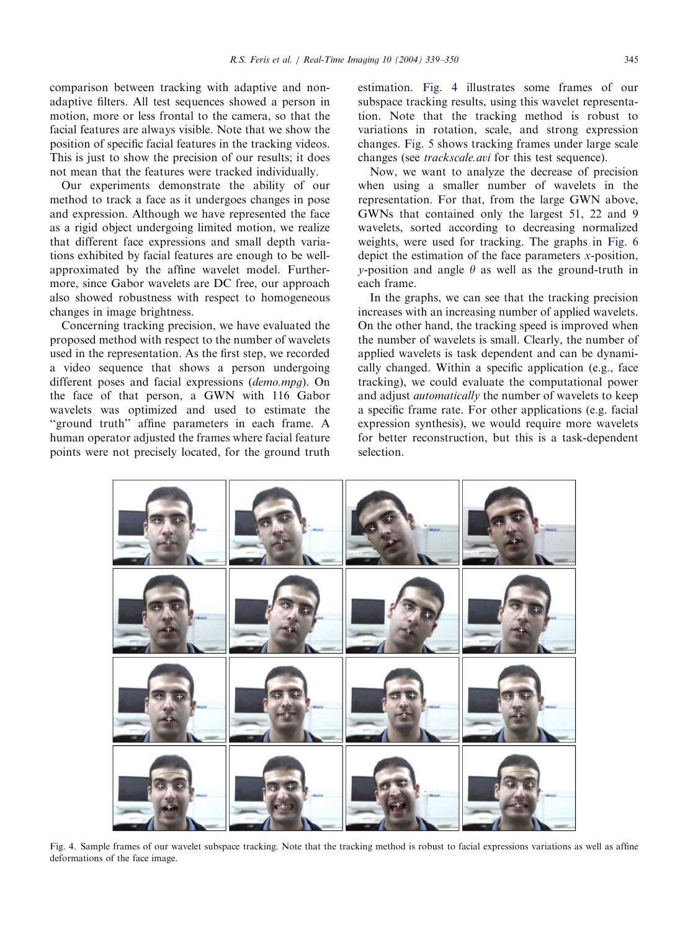<span id="page-6-0"></span>comparison between tracking with adaptive and nonadaptive filters. All test sequences showed a person in motion, more or less frontal to the camera, so that the facial features are always visible. Note that we show the position of specific facial features in the tracking videos. This is just to show the precision of our results; it does not mean that the features were tracked individually.

Our experiments demonstrate the ability of our method to track a face as it undergoes changes in pose and expression. Although we have represented the face as a rigid object undergoing limited motion, we realize that different face expressions and small depth variations exhibited by facial features are enough to be wellapproximated by the affine wavelet model. Furthermore, since Gabor wavelets are DC free, our approach also showed robustness with respect to homogeneous changes in image brightness.

Concerning tracking precision, we have evaluated the proposed method with respect to the number of wavelets used in the representation. As the first step, we recorded a video sequence that shows a person undergoing different poses and facial expressions (demo.mpg). On the face of that person, a GWN with 116 Gabor wavelets was optimized and used to estimate the "ground truth" affine parameters in each frame. A human operator adjusted the frames where facial feature points were not precisely located, for the ground truth

estimation. Fig. 4 illustrates some frames of our subspace tracking results, using this wavelet representation. Note that the tracking method is robust to variations in rotation, scale, and strong expression changes. [Fig. 5](#page-7-0) shows tracking frames under large scale changes (see trackscale.avi for this test sequence).

Now, we want to analyze the decrease of precision when using a smaller number of wavelets in the representation. For that, from the large GWN above, GWNs that contained only the largest 51, 22 and 9 wavelets, sorted according to decreasing normalized weights, were used for tracking. The graphs in [Fig. 6](#page-7-0) depict the estimation of the face parameters  $x$ -position, y-position and angle  $\theta$  as well as the ground-truth in each frame.

In the graphs, we can see that the tracking precision increases with an increasing number of applied wavelets. On the other hand, the tracking speed is improved when the number of wavelets is small. Clearly, the number of applied wavelets is task dependent and can be dynamically changed. Within a specific application (e.g., face tracking), we could evaluate the computational power and adjust automatically the number of wavelets to keep a specific frame rate. For other applications (e.g. facial expression synthesis), we would require more wavelets for better reconstruction, but this is a task-dependent selection.

Fig. 4. Sample frames of our wavelet subspace tracking. Note that the tracking method is robust to facial expressions variations as well as affine deformations of the face image.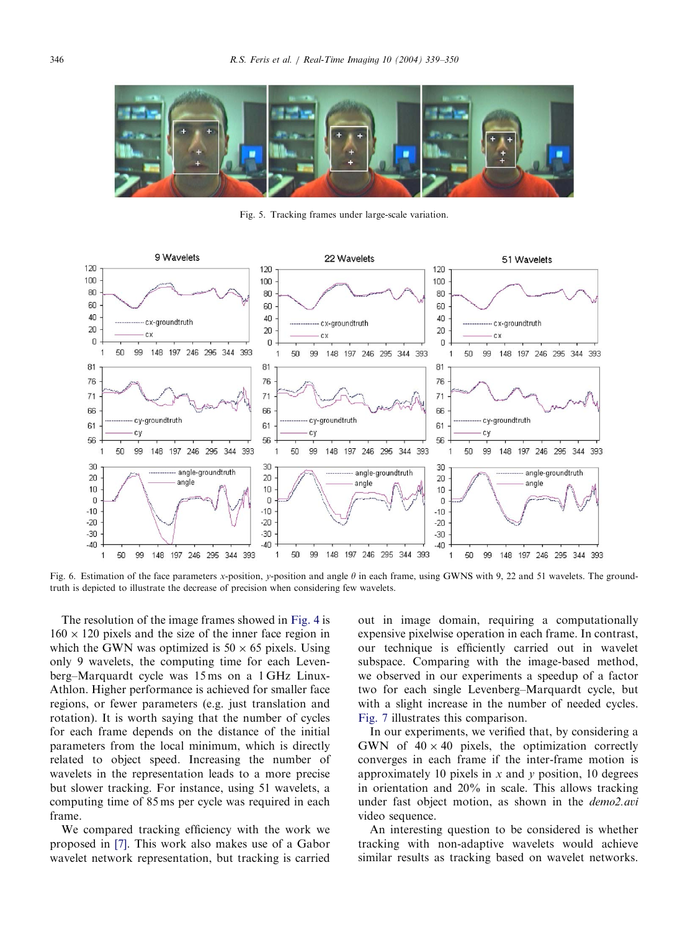<span id="page-7-0"></span>

Fig. 5. Tracking frames under large-scale variation.



Fig. 6. Estimation of the face parameters x-position, y-position and angle  $\theta$  in each frame, using GWNS with 9, 22 and 51 wavelets. The groundtruth is depicted to illustrate the decrease of precision when considering few wavelets.

The resolution of the image frames showed in [Fig. 4](#page-6-0) is  $160 \times 120$  pixels and the size of the inner face region in which the GWN was optimized is  $50 \times 65$  pixels. Using only 9 wavelets, the computing time for each Levenberg–Marquardt cycle was 15 ms on a 1 GHz Linux-Athlon. Higher performance is achieved for smaller face regions, or fewer parameters (e.g. just translation and rotation). It is worth saying that the number of cycles for each frame depends on the distance of the initial parameters from the local minimum, which is directly related to object speed. Increasing the number of wavelets in the representation leads to a more precise but slower tracking. For instance, using 51 wavelets, a computing time of 85 ms per cycle was required in each frame.

We compared tracking efficiency with the work we proposed in [\[7\]](#page-10-0). This work also makes use of a Gabor wavelet network representation, but tracking is carried

out in image domain, requiring a computationally expensive pixelwise operation in each frame. In contrast, our technique is efficiently carried out in wavelet subspace. Comparing with the image-based method, we observed in our experiments a speedup of a factor two for each single Levenberg–Marquardt cycle, but with a slight increase in the number of needed cycles. [Fig. 7](#page-8-0) illustrates this comparison.

In our experiments, we verified that, by considering a GWN of  $40 \times 40$  pixels, the optimization correctly converges in each frame if the inter-frame motion is approximately 10 pixels in  $x$  and  $y$  position, 10 degrees in orientation and 20% in scale. This allows tracking under fast object motion, as shown in the *demo2.avi* video sequence.

An interesting question to be considered is whether tracking with non-adaptive wavelets would achieve similar results as tracking based on wavelet networks.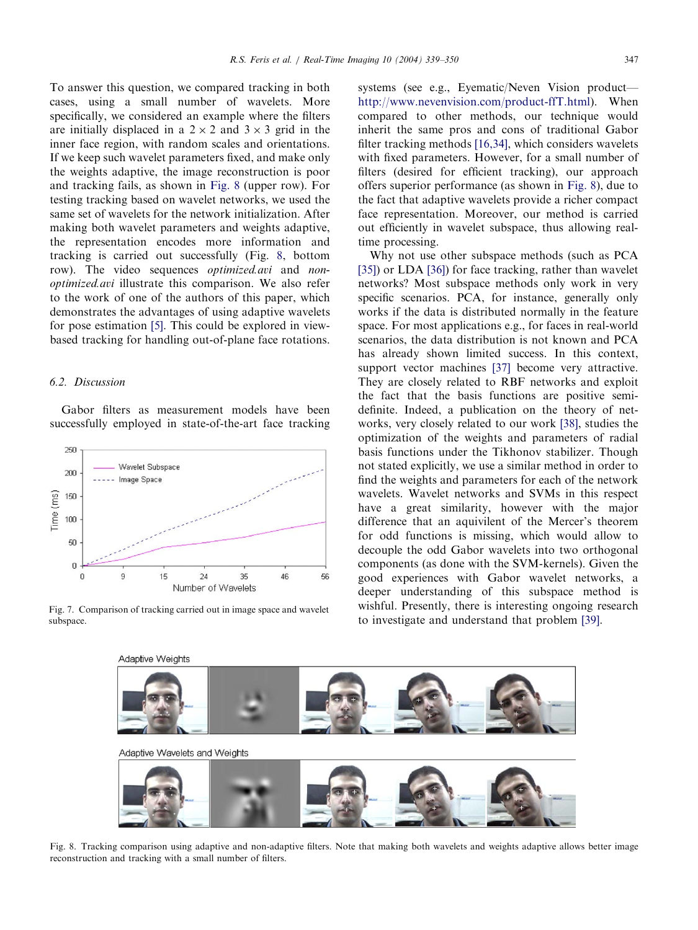<span id="page-8-0"></span>To answer this question, we compared tracking in both cases, using a small number of wavelets. More specifically, we considered an example where the filters are initially displaced in a  $2 \times 2$  and  $3 \times 3$  grid in the inner face region, with random scales and orientations. If we keep such wavelet parameters fixed, and make only the weights adaptive, the image reconstruction is poor and tracking fails, as shown in Fig. 8 (upper row). For testing tracking based on wavelet networks, we used the same set of wavelets for the network initialization. After making both wavelet parameters and weights adaptive, the representation encodes more information and tracking is carried out successfully (Fig. 8, bottom row). The video sequences *optimized.avi* and *non*optimized.avi illustrate this comparison. We also refer to the work of one of the authors of this paper, which demonstrates the advantages of using adaptive wavelets for pose estimation [\[5\]](#page-10-0). This could be explored in viewbased tracking for handling out-of-plane face rotations.

#### 6.2. Discussion

Gabor filters as measurement models have been successfully employed in state-of-the-art face tracking



Fig. 7. Comparison of tracking carried out in image space and wavelet subspace.

systems (see e.g., Eyematic/Neven Vision product [http://www.nevenvision.com/product-ffT.html\)](http://www.nevenvision.com/product-ffT.html). When compared to other methods, our technique would inherit the same pros and cons of traditional Gabor filter tracking methods [\[16,34\]](#page-10-0), which considers wavelets with fixed parameters. However, for a small number of filters (desired for efficient tracking), our approach offers superior performance (as shown in Fig. 8), due to the fact that adaptive wavelets provide a richer compact face representation. Moreover, our method is carried out efficiently in wavelet subspace, thus allowing realtime processing.

Why not use other subspace methods (such as PCA [\[35\]\)](#page-11-0) or LDA [\[36\]\)](#page-11-0) for face tracking, rather than wavelet networks? Most subspace methods only work in very specific scenarios. PCA, for instance, generally only works if the data is distributed normally in the feature space. For most applications e.g., for faces in real-world scenarios, the data distribution is not known and PCA has already shown limited success. In this context, support vector machines [\[37\]](#page-11-0) become very attractive. They are closely related to RBF networks and exploit the fact that the basis functions are positive semidefinite. Indeed, a publication on the theory of networks, very closely related to our work [\[38\]](#page-11-0), studies the optimization of the weights and parameters of radial basis functions under the Tikhonov stabilizer. Though not stated explicitly, we use a similar method in order to find the weights and parameters for each of the network wavelets. Wavelet networks and SVMs in this respect have a great similarity, however with the major difference that an aquivilent of the Mercer's theorem for odd functions is missing, which would allow to decouple the odd Gabor wavelets into two orthogonal components (as done with the SVM-kernels). Given the good experiences with Gabor wavelet networks, a deeper understanding of this subspace method is wishful. Presently, there is interesting ongoing research to investigate and understand that problem [\[39\].](#page-11-0)



Fig. 8. Tracking comparison using adaptive and non-adaptive filters. Note that making both wavelets and weights adaptive allows better image reconstruction and tracking with a small number of filters.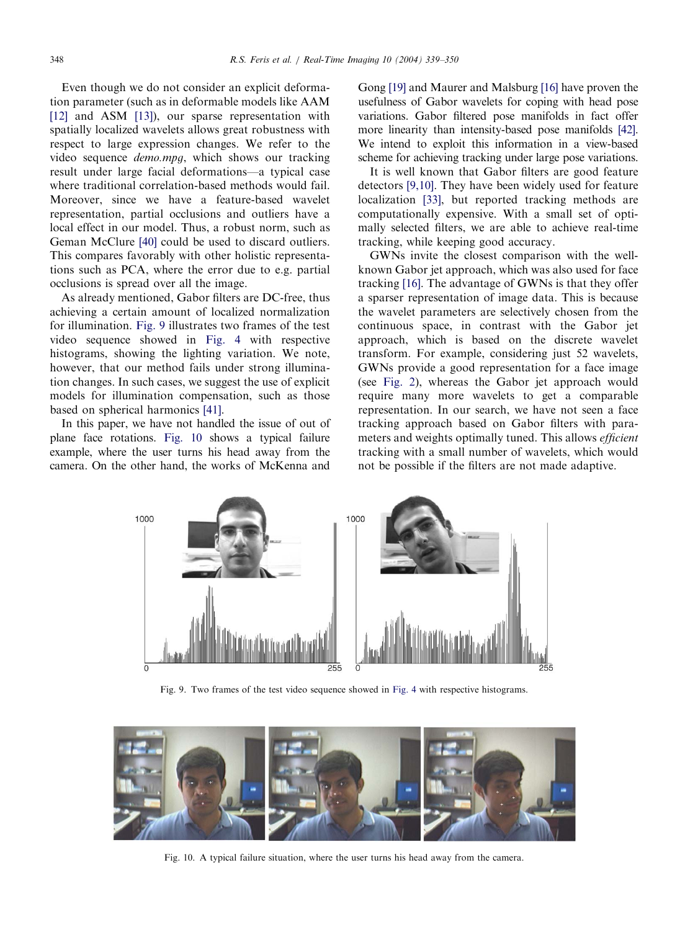Even though we do not consider an explicit deformation parameter (such as in deformable models like AAM [\[12\]](#page-10-0) and ASM [\[13\]](#page-10-0)), our sparse representation with spatially localized wavelets allows great robustness with respect to large expression changes. We refer to the video sequence *demo.mpg*, which shows our tracking result under large facial deformations—a typical case where traditional correlation-based methods would fail. Moreover, since we have a feature-based wavelet representation, partial occlusions and outliers have a local effect in our model. Thus, a robust norm, such as Geman McClure [\[40\]](#page-11-0) could be used to discard outliers. This compares favorably with other holistic representations such as PCA, where the error due to e.g. partial occlusions is spread over all the image.

As already mentioned, Gabor filters are DC-free, thus achieving a certain amount of localized normalization for illumination. Fig. 9 illustrates two frames of the test video sequence showed in [Fig. 4](#page-6-0) with respective histograms, showing the lighting variation. We note, however, that our method fails under strong illumination changes. In such cases, we suggest the use of explicit models for illumination compensation, such as those based on spherical harmonics [\[41\].](#page-11-0)

In this paper, we have not handled the issue of out of plane face rotations. Fig. 10 shows a typical failure example, where the user turns his head away from the camera. On the other hand, the works of McKenna and

Gong [\[19\]](#page-10-0) and Maurer and Malsburg [\[16\]](#page-10-0) have proven the usefulness of Gabor wavelets for coping with head pose variations. Gabor filtered pose manifolds in fact offer more linearity than intensity-based pose manifolds [\[42\].](#page-11-0) We intend to exploit this information in a view-based scheme for achieving tracking under large pose variations.

It is well known that Gabor filters are good feature detectors [\[9,10\]](#page-10-0). They have been widely used for feature localization [\[33\]](#page-11-0), but reported tracking methods are computationally expensive. With a small set of optimally selected filters, we are able to achieve real-time tracking, while keeping good accuracy.

GWNs invite the closest comparison with the wellknown Gabor jet approach, which was also used for face tracking [\[16\].](#page-10-0) The advantage of GWNs is that they offer a sparser representation of image data. This is because the wavelet parameters are selectively chosen from the continuous space, in contrast with the Gabor jet approach, which is based on the discrete wavelet transform. For example, considering just 52 wavelets, GWNs provide a good representation for a face image (see [Fig. 2](#page-4-0)), whereas the Gabor jet approach would require many more wavelets to get a comparable representation. In our search, we have not seen a face tracking approach based on Gabor filters with parameters and weights optimally tuned. This allows *efficient* tracking with a small number of wavelets, which would not be possible if the filters are not made adaptive.



Fig. 9. Two frames of the test video sequence showed in [Fig. 4](#page-6-0) with respective histograms.



Fig. 10. A typical failure situation, where the user turns his head away from the camera.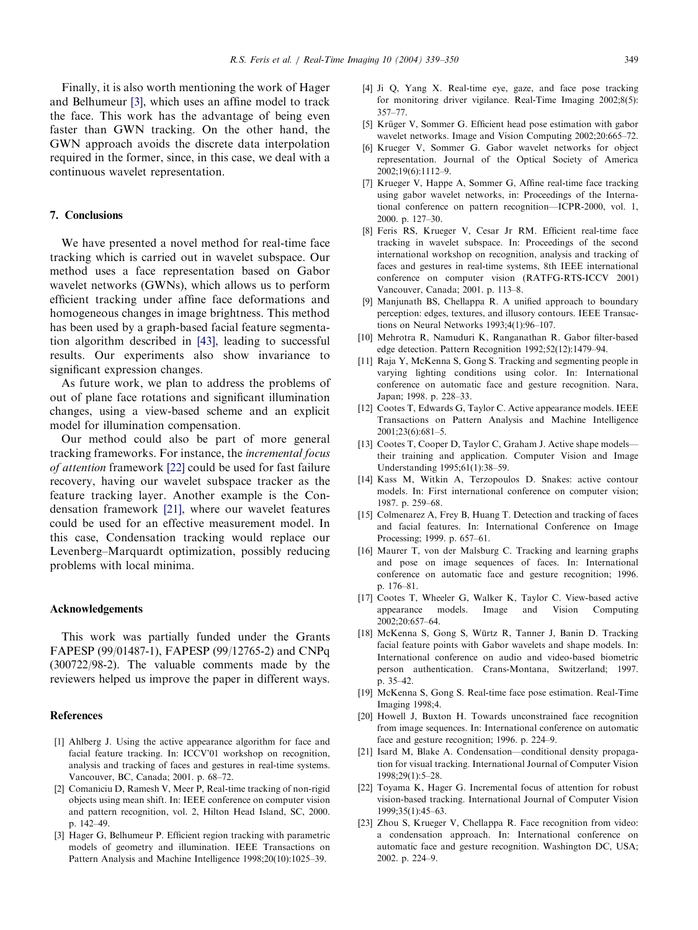<span id="page-10-0"></span>Finally, it is also worth mentioning the work of Hager and Belhumeur [3], which uses an affine model to track the face. This work has the advantage of being even faster than GWN tracking. On the other hand, the GWN approach avoids the discrete data interpolation required in the former, since, in this case, we deal with a continuous wavelet representation.

## 7. Conclusions

We have presented a novel method for real-time face tracking which is carried out in wavelet subspace. Our method uses a face representation based on Gabor wavelet networks (GWNs), which allows us to perform efficient tracking under affine face deformations and homogeneous changes in image brightness. This method has been used by a graph-based facial feature segmenta-tion algorithm described in [\[43\],](#page-11-0) leading to successful results. Our experiments also show invariance to significant expression changes.

As future work, we plan to address the problems of out of plane face rotations and significant illumination changes, using a view-based scheme and an explicit model for illumination compensation.

Our method could also be part of more general tracking frameworks. For instance, the incremental focus of attention framework [22] could be used for fast failure recovery, having our wavelet subspace tracker as the feature tracking layer. Another example is the Condensation framework [21], where our wavelet features could be used for an effective measurement model. In this case, Condensation tracking would replace our Levenberg–Marquardt optimization, possibly reducing problems with local minima.

#### Acknowledgements

This work was partially funded under the Grants FAPESP (99/01487-1), FAPESP (99/12765-2) and CNPq (300722/98-2). The valuable comments made by the reviewers helped us improve the paper in different ways.

#### References

- [1] Ahlberg J. Using the active appearance algorithm for face and facial feature tracking. In: ICCV'01 workshop on recognition, analysis and tracking of faces and gestures in real-time systems. Vancouver, BC, Canada; 2001. p. 68–72.
- [2] Comaniciu D, Ramesh V, Meer P, Real-time tracking of non-rigid objects using mean shift. In: IEEE conference on computer vision and pattern recognition, vol. 2, Hilton Head Island, SC, 2000. p. 142–49.
- [3] Hager G, Belhumeur P. Efficient region tracking with parametric models of geometry and illumination. IEEE Transactions on Pattern Analysis and Machine Intelligence 1998;20(10):1025–39.
- [4] Ji Q, Yang X. Real-time eye, gaze, and face pose tracking for monitoring driver vigilance. Real-Time Imaging 2002;8(5): 357–77.
- [5] Krüger V, Sommer G. Efficient head pose estimation with gabor wavelet networks. Image and Vision Computing 2002;20:665–72.
- [6] Krueger V, Sommer G. Gabor wavelet networks for object representation. Journal of the Optical Society of America 2002;19(6):1112–9.
- [7] Krueger V, Happe A, Sommer G, Affine real-time face tracking using gabor wavelet networks, in: Proceedings of the International conference on pattern recognition—ICPR-2000, vol. 1, 2000. p. 127–30.
- [8] Feris RS, Krueger V, Cesar Jr RM. Efficient real-time face tracking in wavelet subspace. In: Proceedings of the second international workshop on recognition, analysis and tracking of faces and gestures in real-time systems, 8th IEEE international conference on computer vision (RATFG-RTS-ICCV 2001) Vancouver, Canada; 2001. p. 113–8.
- [9] Manjunath BS, Chellappa R. A unified approach to boundary perception: edges, textures, and illusory contours. IEEE Transactions on Neural Networks 1993;4(1):96–107.
- [10] Mehrotra R, Namuduri K, Ranganathan R. Gabor filter-based edge detection. Pattern Recognition 1992;52(12):1479–94.
- [11] Raja Y, McKenna S, Gong S. Tracking and segmenting people in varying lighting conditions using color. In: International conference on automatic face and gesture recognition. Nara, Japan; 1998. p. 228–33.
- [12] Cootes T, Edwards G, Taylor C. Active appearance models. IEEE Transactions on Pattern Analysis and Machine Intelligence 2001;23(6):681–5.
- [13] Cootes T, Cooper D, Taylor C, Graham J. Active shape models their training and application. Computer Vision and Image Understanding 1995;61(1):38–59.
- [14] Kass M, Witkin A, Terzopoulos D. Snakes: active contour models. In: First international conference on computer vision; 1987. p. 259–68.
- [15] Colmenarez A, Frey B, Huang T. Detection and tracking of faces and facial features. In: International Conference on Image Processing; 1999. p. 657–61.
- [16] Maurer T, von der Malsburg C. Tracking and learning graphs and pose on image sequences of faces. In: International conference on automatic face and gesture recognition; 1996. p. 176–81.
- [17] Cootes T, Wheeler G, Walker K, Taylor C. View-based active appearance models. Image and Vision Computing 2002;20:657–64.
- [18] McKenna S, Gong S, Würtz R, Tanner J, Banin D. Tracking facial feature points with Gabor wavelets and shape models. In: International conference on audio and video-based biometric person authentication. Crans-Montana, Switzerland; 1997. p. 35–42.
- [19] McKenna S, Gong S. Real-time face pose estimation. Real-Time Imaging 1998;4.
- [20] Howell J, Buxton H. Towards unconstrained face recognition from image sequences. In: International conference on automatic face and gesture recognition; 1996. p. 224–9.
- [21] Isard M, Blake A. Condensation—conditional density propagation for visual tracking. International Journal of Computer Vision 1998;29(1):5–28.
- [22] Toyama K, Hager G. Incremental focus of attention for robust vision-based tracking. International Journal of Computer Vision 1999;35(1):45–63.
- [23] Zhou S, Krueger V, Chellappa R. Face recognition from video: a condensation approach. In: International conference on automatic face and gesture recognition. Washington DC, USA; 2002. p. 224–9.